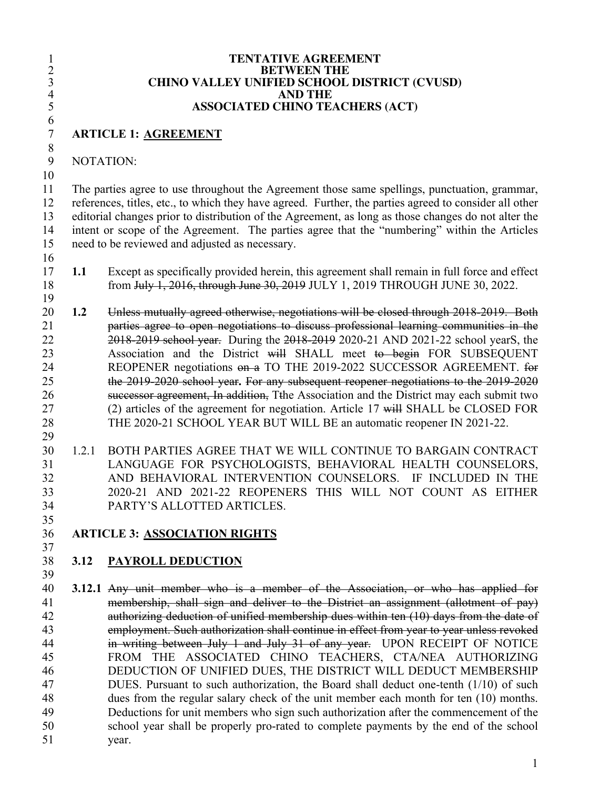#### TENTATIVE AGREEMENT<br>
<sup>2</sup><br> **CHINO VALLEY UNIFIED SCHOOL DISTI**<br>
<sup>4</sup><br>
AND THE **BETWEEN THE CHINO VALLEY UNIFIED SCHOOL DISTRICT (CVUSD) AND THE ASSOCIATED CHINO TE ASSOCIATED CHINO TEACHERS (ACT)**

**ARTICLE 1: AGREEMENT**

NOTATION:

 $\frac{6}{7}$ 

 The parties agree to use throughout the Agreement those same spellings, punctuation, grammar, references, titles, etc., to which they have agreed. Further, the parties agreed to consider all other editorial changes prior to distribution of the Agreement, as long as those changes do not alter the intent or scope of the Agreement. The parties agree that the "numbering" within the Articles need to be reviewed and adjusted as necessary.

- **1.1** Except as specifically provided herein, this agreement shall remain in full force and effect 18 from July 1, 2016, through June 30, 2019 JULY 1, 2019 THROUGH JUNE 30, 2022.
- **1.2** Unless mutually agreed otherwise, negotiations will be closed through 2018-2019. Both parties agree to open negotiations to discuss professional learning communities in the 2018-2019 school year.During the 2018-2019 2020-21 AND 2021-22 school yearS, the 23 Association and the District will SHALL meet to begin FOR SUBSEQUENT 24 REOPENER negotiations  $\theta$  a TO THE 2019-2022 SUCCESSOR AGREEMENT. For the 2019-2020 school year**.** For any subsequent reopener negotiations to the 2019-2020 successor agreement, In addition, Tthe Association and the District may each submit two 27 (2) articles of the agreement for negotiation. Article 17 will SHALL be CLOSED FOR THE 2020-21 SCHOOL YEAR BUT WILL BE an automatic reopener IN 2021-22.
- 1.2.1 BOTH PARTIES AGREE THAT WE WILL CONTINUE TO BARGAIN CONTRACT LANGUAGE FOR PSYCHOLOGISTS, BEHAVIORAL HEALTH COUNSELORS, AND BEHAVIORAL INTERVENTION COUNSELORS. IF INCLUDED IN THE 2020-21 AND 2021-22 REOPENERS THIS WILL NOT COUNT AS EITHER PARTY'S ALLOTTED ARTICLES.
- **ARTICLE 3: ASSOCIATION RIGHTS**

# **3.12 PAYROLL DEDUCTION**

 **3.12.1** Any unit member who is a member of the Association, or who has applied for 41 membership, shall sign and deliver to the District an assignment (allotment of pay) authorizing deduction of unified membership dues within ten (10) days from the date of employment. Such authorization shall continue in effect from year to year unless revoked in writing between July 1 and July 31 of any year. UPON RECEIPT OF NOTICE FROM THE ASSOCIATED CHINO TEACHERS, CTA/NEA AUTHORIZING DEDUCTION OF UNIFIED DUES, THE DISTRICT WILL DEDUCT MEMBERSHIP DUES. Pursuant to such authorization, the Board shall deduct one-tenth (1/10) of such dues from the regular salary check of the unit member each month for ten (10) months. Deductions for unit members who sign such authorization after the commencement of the school year shall be properly pro-rated to complete payments by the end of the school year.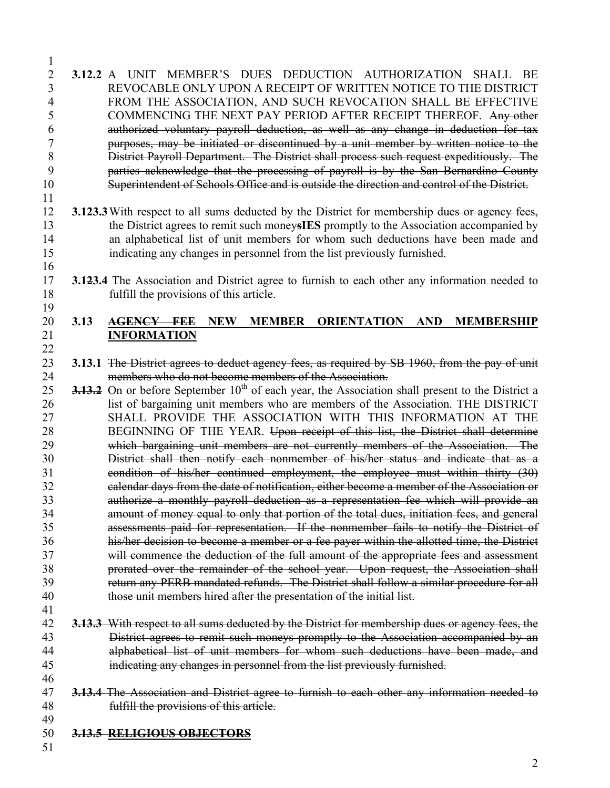| $\overline{2}$ |      | 3.12.2 A UNIT MEMBER'S DUES DEDUCTION AUTHORIZATION SHALL BE                                                        |
|----------------|------|---------------------------------------------------------------------------------------------------------------------|
| 3              |      | REVOCABLE ONLY UPON A RECEIPT OF WRITTEN NOTICE TO THE DISTRICT                                                     |
| $\overline{4}$ |      | FROM THE ASSOCIATION, AND SUCH REVOCATION SHALL BE EFFECTIVE                                                        |
| 5              |      | COMMENCING THE NEXT PAY PERIOD AFTER RECEIPT THEREOF. Any other                                                     |
| 6              |      | authorized voluntary payroll deduction, as well as any change in deduction for tax                                  |
| 7              |      | purposes, may be initiated or discontinued by a unit member by written notice to the                                |
| 8              |      | District Payroll Department. The District shall process such request expeditiously. The                             |
| 9              |      | parties acknowledge that the processing of payroll is by the San Bernardino County                                  |
| 10             |      | Superintendent of Schools Office and is outside the direction and control of the District.                          |
| 11             |      |                                                                                                                     |
| 12             |      | 3.123.3 With respect to all sums deducted by the District for membership dues or agency fees,                       |
| 13             |      | the District agrees to remit such moneysIES promptly to the Association accompanied by                              |
| 14             |      | an alphabetical list of unit members for whom such deductions have been made and                                    |
| 15             |      | indicating any changes in personnel from the list previously furnished.                                             |
| 16             |      |                                                                                                                     |
| 17             |      | 3.123.4 The Association and District agree to furnish to each other any information needed to                       |
| 18             |      | fulfill the provisions of this article.                                                                             |
| 19             |      |                                                                                                                     |
| 20             | 3.13 | <b>MEMBER</b><br><b>ORIENTATION AND</b><br><b>MEMBERSHIP</b><br><b>AGENCY FEE</b><br><b>NEW</b>                     |
| 21             |      | <b>INFORMATION</b>                                                                                                  |
| 22             |      |                                                                                                                     |
| 23             |      | 3.13.1 The District agrees to deduct agency fees, as required by SB 1960, from the pay of unit                      |
| 24             |      | members who do not become members of the Association.                                                               |
| 25             |      | <b>3.13.2</b> On or before September 10 <sup>th</sup> of each year, the Association shall present to the District a |
| 26             |      | list of bargaining unit members who are members of the Association. THE DISTRICT                                    |
| 27             |      | SHALL PROVIDE THE ASSOCIATION WITH THIS INFORMATION AT THE                                                          |
| 28             |      | BEGINNING OF THE YEAR. Upon receipt of this list, the District shall determine                                      |
| 29             |      | which bargaining unit members are not currently members of the Association. The                                     |
| 30             |      | District shall then notify each nonmember of his/her status and indicate that as a                                  |
| 31             |      | condition of his/her continued employment, the employee must within thirty (30)                                     |
| 32             |      | ealendar days from the date of notification, either become a member of the Association or                           |
| 33             |      | authorize a monthly payroll deduction as a representation fee which will provide an                                 |
| 34             |      | amount of money equal to only that portion of the total dues, initiation fees, and general                          |
| 35             |      | assessments paid for representation. If the nonmember fails to notify the District of                               |
| 36             |      | his/her decision to become a member or a fee payer within the allotted time, the District                           |
| 37             |      | will commence the deduction of the full amount of the appropriate fees and assessment                               |
| 38             |      | prorated over the remainder of the school year. Upon request, the Association shall                                 |
| 39             |      | return any PERB mandated refunds. The District shall follow a similar procedure for all                             |
| 40             |      | those unit members hired after the presentation of the initial list.                                                |
| 41             |      |                                                                                                                     |
| 42             |      | 3.13.3 With respect to all sums deducted by the District for membership dues or agency fees, the                    |
| 43             |      | District agrees to remit such moneys promptly to the Association accompanied by an                                  |
| 44             |      | alphabetical list of unit members for whom such deductions have been made, and                                      |
| 45             |      | indicating any changes in personnel from the list previously furnished.                                             |
| 46             |      |                                                                                                                     |
| 47             |      | 3.13.4 The Association and District agree to furnish to each other any information needed to                        |
| 48             |      | fulfill the provisions of this article.                                                                             |
| 49             |      |                                                                                                                     |
| 50             |      | 3.13.5 RELIGIOUS OBJECTORS                                                                                          |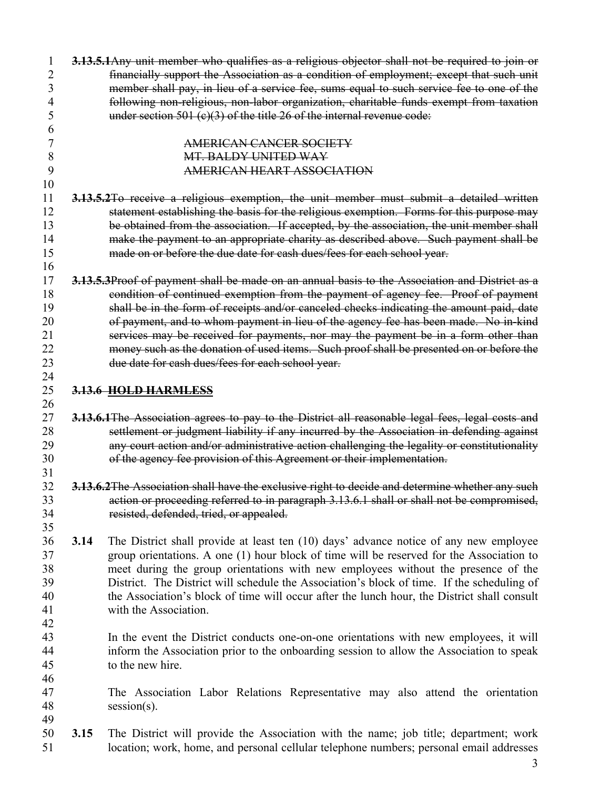|    |      | 3.13.5.1 Any unit member who qualifies as a religious objector shall not be required to join or   |
|----|------|---------------------------------------------------------------------------------------------------|
| 2  |      | financially support the Association as a condition of employment; except that such unit           |
| 3  |      | member shall pay, in lieu of a service fee, sums equal to such service fee to one of the          |
|    |      | following non-religious, non-labor organization, charitable funds exempt from taxation            |
| 5  |      | under section 501 ( $e$ )(3) of the title 26 of the internal revenue code:                        |
| 6  |      |                                                                                                   |
|    |      | AMERICAN CANCER SOCIETY                                                                           |
| 8  |      | <b>MT. BALDY UNITED WAY</b>                                                                       |
| 9  |      | AMERICAN HEART ASSOCIATION                                                                        |
| 10 |      |                                                                                                   |
| 11 |      | 3.13.5.2To receive a religious exemption, the unit member must submit a detailed written          |
| 12 |      | statement establishing the basis for the religious exemption. Forms for this purpose may          |
| 13 |      | be obtained from the association. If accepted, by the association, the unit member shall          |
| 14 |      | make the payment to an appropriate charity as described above. Such payment shall be              |
| 15 |      | made on or before the due date for cash dues/fees for each school year.                           |
| 16 |      |                                                                                                   |
| 17 |      | 3.13.5.3Proof of payment shall be made on an annual basis to the Association and District as a    |
|    |      |                                                                                                   |
| 18 |      | condition of continued exemption from the payment of agency fee. Proof of payment                 |
| 19 |      | shall be in the form of receipts and/or canceled checks indicating the amount paid, date          |
| 20 |      | of payment, and to whom payment in lieu of the agency fee has been made. No in-kind               |
| 21 |      | services may be received for payments, nor may the payment be in a form other than                |
| 22 |      | money such as the donation of used items. Such proof shall be presented on or before the          |
| 23 |      | due date for cash dues/fees for each school year.                                                 |
| 24 |      |                                                                                                   |
| 25 |      | 3.13.6 HOLD HARMLESS                                                                              |
| 26 |      |                                                                                                   |
| 27 |      | 3.13.6.1 The Association agrees to pay to the District all reasonable legal fees, legal costs and |
| 28 |      | settlement or judgment liability if any incurred by the Association in defending against          |
| 29 |      | any court action and/or administrative action challenging the legality or constitutionality       |
| 30 |      | of the agency fee provision of this Agreement or their implementation.                            |
| 31 |      |                                                                                                   |
| 32 |      | 3.13.6.2 The Association shall have the exclusive right to decide and determine whether any such  |
| 33 |      | action or proceeding referred to in paragraph 3.13.6.1 shall or shall not be compromised,         |
| 34 |      | resisted, defended, tried, or appealed.                                                           |
| 35 |      |                                                                                                   |
| 36 | 3.14 | The District shall provide at least ten (10) days' advance notice of any new employee             |
| 37 |      | group orientations. A one (1) hour block of time will be reserved for the Association to          |
| 38 |      | meet during the group orientations with new employees without the presence of the                 |
| 39 |      | District. The District will schedule the Association's block of time. If the scheduling of        |
| 40 |      | the Association's block of time will occur after the lunch hour, the District shall consult       |
| 41 |      | with the Association.                                                                             |
| 42 |      |                                                                                                   |
| 43 |      | In the event the District conducts one-on-one orientations with new employees, it will            |
| 44 |      | inform the Association prior to the onboarding session to allow the Association to speak          |
| 45 |      | to the new hire.                                                                                  |
| 46 |      |                                                                                                   |
| 47 |      | The Association Labor Relations Representative may also attend the orientation                    |
| 48 |      | $session(s)$ .                                                                                    |
| 49 |      |                                                                                                   |
| 50 | 3.15 | The District will provide the Association with the name; job title; department; work              |
| 51 |      | location; work, home, and personal cellular telephone numbers; personal email addresses           |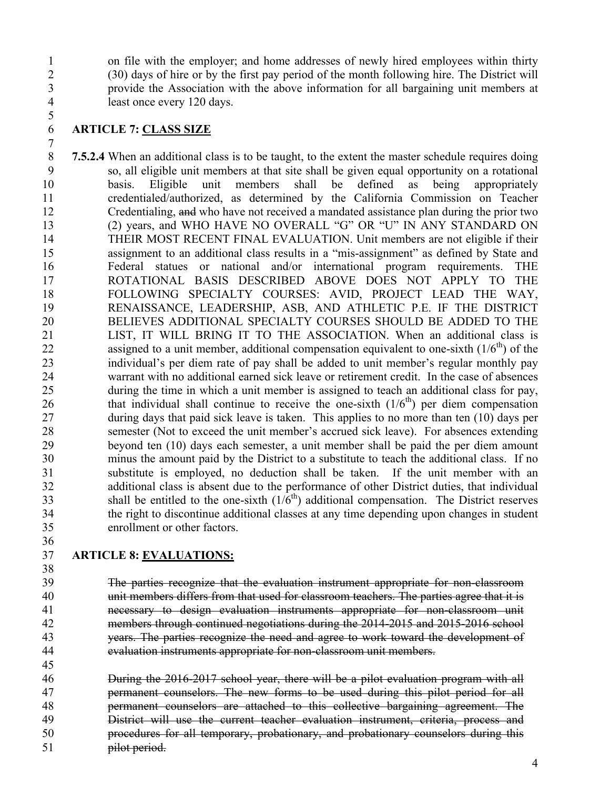on file with the employer; and home addresses of newly hired employees within thirty (30) days of hire or by the first pay period of the month following hire. The District will provide the Association with the above information for all bargaining unit members at least once every 120 days.

# **ARTICLE 7: CLASS SIZE**

 **7.5.2.4** When an additional class is to be taught, to the extent the master schedule requires doing so, all eligible unit members at that site shall be given equal opportunity on a rotational basis. Eligible unit members shall be defined as being appropriately credentialed/authorized, as determined by the California Commission on Teacher Credentialing, and who have not received a mandated assistance plan during the prior two (2) years, and WHO HAVE NO OVERALL "G" OR "U" IN ANY STANDARD ON THEIR MOST RECENT FINAL EVALUATION. Unit members are not eligible if their assignment to an additional class results in a "mis-assignment" as defined by State and Federal statues or national and/or international program requirements. THE ROTATIONAL BASIS DESCRIBED ABOVE DOES NOT APPLY TO THE FOLLOWING SPECIALTY COURSES: AVID, PROJECT LEAD THE WAY, RENAISSANCE, LEADERSHIP, ASB, AND ATHLETIC P.E. IF THE DISTRICT BELIEVES ADDITIONAL SPECIALTY COURSES SHOULD BE ADDED TO THE LIST, IT WILL BRING IT TO THE ASSOCIATION. When an additional class is assigned to a unit member, additional compensation equivalent to one-sixth  $(1/6<sup>th</sup>)$  of the individual's per diem rate of pay shall be added to unit member's regular monthly pay warrant with no additional earned sick leave or retirement credit. In the case of absences during the time in which a unit member is assigned to teach an additional class for pay, 26 that individual shall continue to receive the one-sixth  $(1/6<sup>th</sup>)$  per diem compensation 27 during days that paid sick leave is taken. This applies to no more than ten (10) days per semester (Not to exceed the unit member's accrued sick leave). For absences extending beyond ten (10) days each semester, a unit member shall be paid the per diem amount minus the amount paid by the District to a substitute to teach the additional class. If no substitute is employed, no deduction shall be taken. If the unit member with an additional class is absent due to the performance of other District duties, that individual shall be entitled to the one-sixth  $(1/6<sup>th</sup>)$  additional compensation. The District reserves the right to discontinue additional classes at any time depending upon changes in student enrollment or other factors.

# **ARTICLE 8: EVALUATIONS:**

 The parties recognize that the evaluation instrument appropriate for non-classroom unit members differs from that used for classroom teachers. The parties agree that it is necessary to design evaluation instruments appropriate for non-classroom unit members through continued negotiations during the 2014-2015 and 2015-2016 school years. The parties recognize the need and agree to work toward the development of evaluation instruments appropriate for non-classroom unit members.

 During the 2016-2017 school year, there will be a pilot evaluation program with all permanent counselors. The new forms to be used during this pilot period for all permanent counselors are attached to this collective bargaining agreement. The District will use the current teacher evaluation instrument, criteria, process and procedures for all temporary, probationary, and probationary counselors during this 51 pilot period.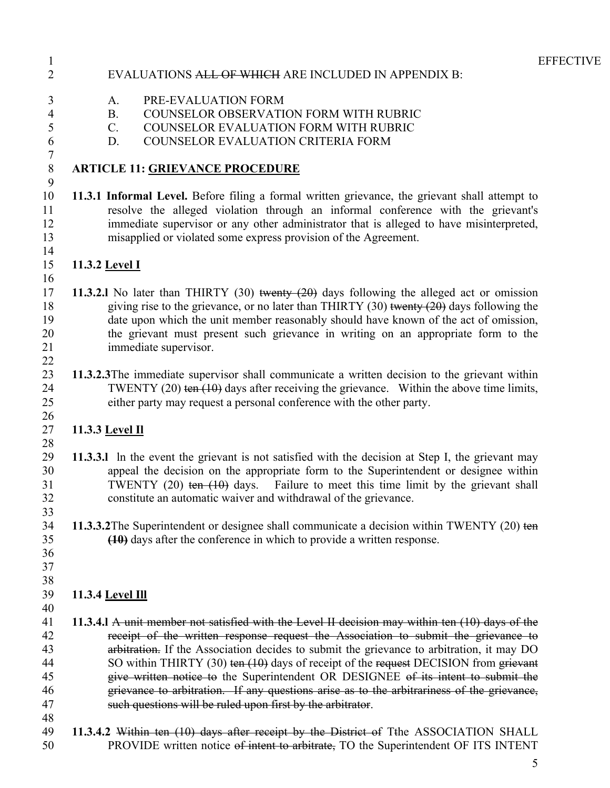### 1 EFFECTIVE STARTING THE STARTING THE STARTING THE STARTING THE STARTING SHALL RELATION INSTRUMENT FOR COUNSELORS. AND ALL RELATIONS. AND ALL REGARD TO COUNSELORS. AND ALL REGARD TO COUNSELORS. AND ALL REGARD TO COUNSELORS

## EVALUATIONS ALL OF WHICH ARE INCLUDED IN APPENDIX B:

- A. PRE-EVALUATION FORM
- B. COUNSELOR OBSERVATION FORM WITH RUBRIC
- C. COUNSELOR EVALUATION FORM WITH RUBRIC
- D. COUNSELOR EVALUATION CRITERIA FORM

## **ARTICLE 11: GRIEVANCE PROCEDURE**

 **11.3.1 Informal Level.** Before filing a formal written grievance, the grievant shall attempt to resolve the alleged violation through an informal conference with the grievant's immediate supervisor or any other administrator that is alleged to have misinterpreted, misapplied or violated some express provision of the Agreement.

#### **11.3.2 Level I**

- **11.3.2.l** No later than THIRTY (30) twenty (20) days following the alleged act or omission 18 giving rise to the grievance, or no later than THIRTY (30) twenty (20) days following the date upon which the unit member reasonably should have known of the act of omission, the grievant must present such grievance in writing on an appropriate form to the immediate supervisor.
- **11.3.2.3**The immediate supervisor shall communicate a written decision to the grievant within 24 TWENTY (20) ten (10) days after receiving the grievance. Within the above time limits, either party may request a personal conference with the other party.

#### **11.3.3 Level Il**

- **11.3.3.l** ln the event the grievant is not satisfied with the decision at Step I, the grievant may appeal the decision on the appropriate form to the Superintendent or designee within TWENTY (20) ten (10) days. Failure to meet this time limit by the grievant shall constitute an automatic waiver and withdrawal of the grievance.
- **11.3.3.2**The Superintendent or designee shall communicate a decision within TWENTY (20) ten **(10)** days after the conference in which to provide a written response.
- 

- 
- **11.3.4 Level Ill**
- 
- **11.3.4.l** A unit member not satisfied with the Level II decision may within ten (10) days of the receipt of the written response request the Association to submit the grievance to 43 arbitration. If the Association decides to submit the grievance to arbitration, it may DO 44 SO within THIRTY (30) ten (10) days of receipt of the request DECISION from grievant give written notice to the Superintendent OR DESIGNEE of its intent to submit the grievance to arbitration. If any questions arise as to the arbitrariness of the grievance, such questions will be ruled upon first by the arbitrator.
- 
- **11.3.4.2** Within ten (10) days after receipt by the District of Tthe ASSOCIATION SHALL 50 PROVIDE written notice of intent to arbitrate, TO the Superintendent OF ITS INTENT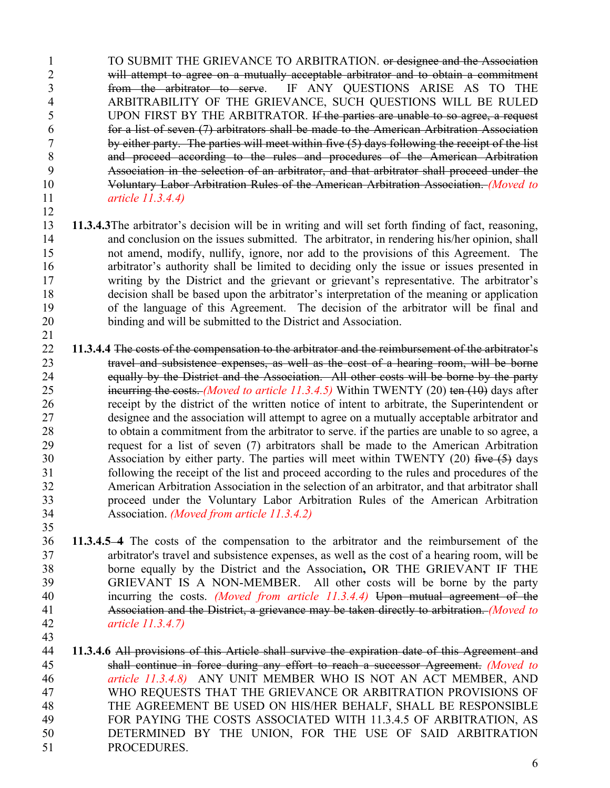TO SUBMIT THE GRIEVANCE TO ARBITRATION. or designee and the Association will attempt to agree on a mutually acceptable arbitrator and to obtain a commitment from the arbitrator to serve. IF ANY QUESTIONS ARISE AS TO THE ARBITRABILITY OF THE GRIEVANCE, SUCH QUESTIONS WILL BE RULED UPON FIRST BY THE ARBITRATOR. If the parties are unable to so agree, a request for a list of seven (7) arbitrators shall be made to the American Arbitration Association by either party. The parties will meet within five (5) days following the receipt of the list and proceed according to the rules and procedures of the American Arbitration Association in the selection of an arbitrator, and that arbitrator shall proceed under the Voluntary Labor Arbitration Rules of the American Arbitration Association. *(Moved to article 11.3.4.4)* 

 **11.3.4.3**The arbitrator's decision will be in writing and will set forth finding of fact, reasoning, and conclusion on the issues submitted. The arbitrator, in rendering his/her opinion, shall not amend, modify, nullify, ignore, nor add to the provisions of this Agreement. The arbitrator's authority shall be limited to deciding only the issue or issues presented in writing by the District and the grievant or grievant's representative. The arbitrator's decision shall be based upon the arbitrator's interpretation of the meaning or application of the language of this Agreement. The decision of the arbitrator will be final and binding and will be submitted to the District and Association.

- **11.3.4.4** The costs of the compensation to the arbitrator and the reimbursement of the arbitrator's travel and subsistence expenses, as well as the cost of a hearing room, will be borne equally by the District and the Association. All other costs will be borne by the party incurring the costs. *(Moved to article 11.3.4.5)* Within TWENTY (20) ten (10) days after receipt by the district of the written notice of intent to arbitrate, the Superintendent or designee and the association will attempt to agree on a mutually acceptable arbitrator and to obtain a commitment from the arbitrator to serve. if the parties are unable to so agree, a request for a list of seven (7) arbitrators shall be made to the American Arbitration 30 Association by either party. The parties will meet within TWENTY (20) five (5) days following the receipt of the list and proceed according to the rules and procedures of the American Arbitration Association in the selection of an arbitrator, and that arbitrator shall proceed under the Voluntary Labor Arbitration Rules of the American Arbitration Association. *(Moved from article 11.3.4.2)*
- **11.3.4.5 4** The costs of the compensation to the arbitrator and the reimbursement of the arbitrator's travel and subsistence expenses, as well as the cost of a hearing room, will be borne equally by the District and the Association**,** OR THE GRIEVANT IF THE GRIEVANT IS A NON-MEMBER. All other costs will be borne by the party incurring the costs. *(Moved from article 11.3.4.4)* Upon mutual agreement of the Association and the District, a grievance may be taken directly to arbitration. *(Moved to article 11.3.4.7)*

 **11.3.4.6** All provisions of this Article shall survive the expiration date of this Agreement and shall continue in force during any effort to reach a successor Agreement. *(Moved to article 11.3.4.8)* ANY UNIT MEMBER WHO IS NOT AN ACT MEMBER, AND WHO REQUESTS THAT THE GRIEVANCE OR ARBITRATION PROVISIONS OF THE AGREEMENT BE USED ON HIS/HER BEHALF, SHALL BE RESPONSIBLE FOR PAYING THE COSTS ASSOCIATED WITH 11.3.4.5 OF ARBITRATION, AS DETERMINED BY THE UNION, FOR THE USE OF SAID ARBITRATION PROCEDURES.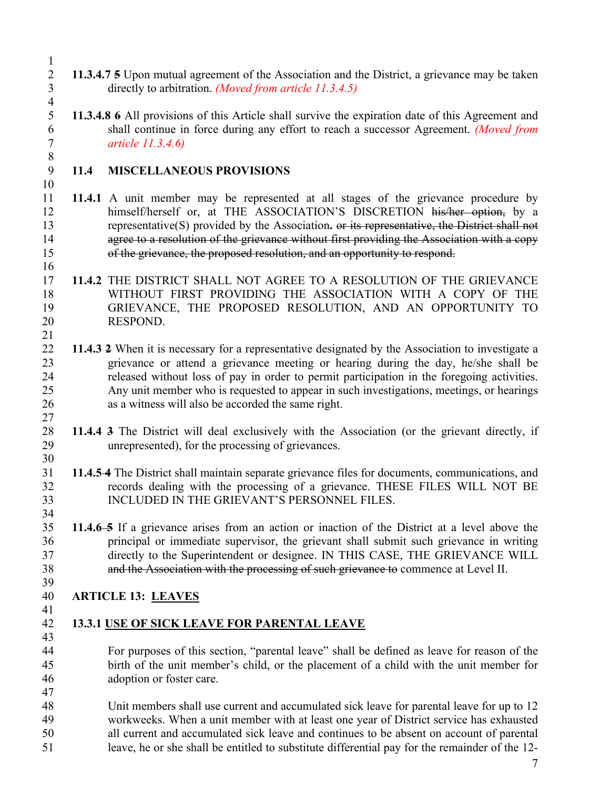- **11.3.4.7 5** Upon mutual agreement of the Association and the District, a grievance may be taken directly to arbitration. *(Moved from article 11.3.4.5)*
- **11.3.4.8 6** All provisions of this Article shall survive the expiration date of this Agreement and shall continue in force during any effort to reach a successor Agreement. *(Moved from article 11.3.4.6)*

# **11.4 MISCELLANEOUS PROVISIONS**

- **11.4.1** A unit member may be represented at all stages of the grievance procedure by 12 himself/herself or, at THE ASSOCIATION'S DISCRETION his/her option, by a representative(S) provided by the Association**.** or its representative, the District shall not 14 agree to a resolution of the grievance without first providing the Association with a copy of the grievance, the proposed resolution, and an opportunity to respond.
- **11.4.2** THE DISTRICT SHALL NOT AGREE TO A RESOLUTION OF THE GRIEVANCE WITHOUT FIRST PROVIDING THE ASSOCIATION WITH A COPY OF THE GRIEVANCE, THE PROPOSED RESOLUTION, AND AN OPPORTUNITY TO RESPOND.
- **11.4.3 2** When it is necessary for a representative designated by the Association to investigate a grievance or attend a grievance meeting or hearing during the day, he/she shall be released without loss of pay in order to permit participation in the foregoing activities. Any unit member who is requested to appear in such investigations, meetings, or hearings as a witness will also be accorded the same right.
- **11.4.4 3** The District will deal exclusively with the Association (or the grievant directly, if unrepresented), for the processing of grievances.
- **11.4.5 4** The District shall maintain separate grievance files for documents, communications, and records dealing with the processing of a grievance. THESE FILES WILL NOT BE INCLUDED IN THE GRIEVANT'S PERSONNEL FILES.
- **11.4.6 5** If a grievance arises from an action or inaction of the District at a level above the principal or immediate supervisor, the grievant shall submit such grievance in writing directly to the Superintendent or designee. IN THIS CASE, THE GRIEVANCE WILL and the Association with the processing of such grievance to commence at Level II.
- 

### **ARTICLE 13: LEAVES**

### **13.3.1 USE OF SICK LEAVE FOR PARENTAL LEAVE**

 For purposes of this section, "parental leave" shall be defined as leave for reason of the birth of the unit member's child, or the placement of a child with the unit member for adoption or foster care.

 Unit members shall use current and accumulated sick leave for parental leave for up to 12 workweeks. When a unit member with at least one year of District service has exhausted all current and accumulated sick leave and continues to be absent on account of parental leave, he or she shall be entitled to substitute differential pay for the remainder of the 12-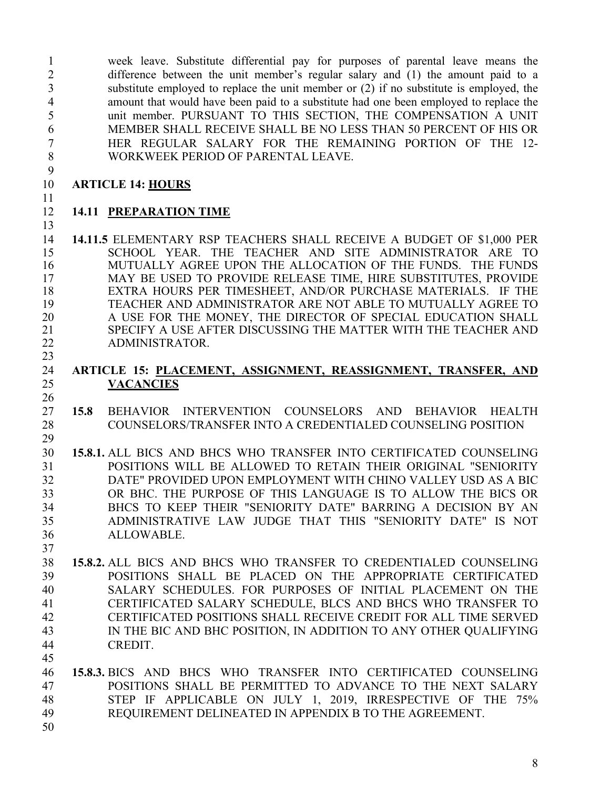week leave. Substitute differential pay for purposes of parental leave means the difference between the unit member's regular salary and (1) the amount paid to a substitute employed to replace the unit member or (2) if no substitute is employed, the amount that would have been paid to a substitute had one been employed to replace the unit member. PURSUANT TO THIS SECTION, THE COMPENSATION A UNIT MEMBER SHALL RECEIVE SHALL BE NO LESS THAN 50 PERCENT OF HIS OR HER REGULAR SALARY FOR THE REMAINING PORTION OF THE 12- WORKWEEK PERIOD OF PARENTAL LEAVE. 

## **ARTICLE 14: HOURS**

#### 

**14.11 PREPARATION TIME**

 **14.11.5** ELEMENTARY RSP TEACHERS SHALL RECEIVE A BUDGET OF \$1,000 PER SCHOOL YEAR. THE TEACHER AND SITE ADMINISTRATOR ARE TO MUTUALLY AGREE UPON THE ALLOCATION OF THE FUNDS. THE FUNDS MAY BE USED TO PROVIDE RELEASE TIME, HIRE SUBSTITUTES, PROVIDE EXTRA HOURS PER TIMESHEET, AND/OR PURCHASE MATERIALS. IF THE TEACHER AND ADMINISTRATOR ARE NOT ABLE TO MUTUALLY AGREE TO A USE FOR THE MONEY, THE DIRECTOR OF SPECIAL EDUCATION SHALL SPECIFY A USE AFTER DISCUSSING THE MATTER WITH THE TEACHER AND ADMINISTRATOR. 

## **ARTICLE 15: PLACEMENT, ASSIGNMENT, REASSIGNMENT, TRANSFER, AND VACANCIES**

- **15.8** BEHAVIOR INTERVENTION COUNSELORS AND BEHAVIOR HEALTH COUNSELORS/TRANSFER INTO A CREDENTIALED COUNSELING POSITION
- **15.8.1.** ALL BICS AND BHCS WHO TRANSFER INTO CERTIFICATED COUNSELING POSITIONS WILL BE ALLOWED TO RETAIN THEIR ORIGINAL "SENIORITY DATE" PROVIDED UPON EMPLOYMENT WITH CHINO VALLEY USD AS A BIC OR BHC. THE PURPOSE OF THIS LANGUAGE IS TO ALLOW THE BICS OR BHCS TO KEEP THEIR "SENIORITY DATE" BARRING A DECISION BY AN ADMINISTRATIVE LAW JUDGE THAT THIS "SENIORITY DATE" IS NOT ALLOWABLE.
- **15.8.2.** ALL BICS AND BHCS WHO TRANSFER TO CREDENTIALED COUNSELING POSITIONS SHALL BE PLACED ON THE APPROPRIATE CERTIFICATED SALARY SCHEDULES. FOR PURPOSES OF INITIAL PLACEMENT ON THE CERTIFICATED SALARY SCHEDULE, BLCS AND BHCS WHO TRANSFER TO CERTIFICATED POSITIONS SHALL RECEIVE CREDIT FOR ALL TIME SERVED IN THE BIC AND BHC POSITION, IN ADDITION TO ANY OTHER QUALIFYING CREDIT.
- **15.8.3.** BICS AND BHCS WHO TRANSFER INTO CERTIFICATED COUNSELING POSITIONS SHALL BE PERMITTED TO ADVANCE TO THE NEXT SALARY STEP IF APPLICABLE ON JULY 1, 2019, IRRESPECTIVE OF THE 75% REQUIREMENT DELINEATED IN APPENDIX B TO THE AGREEMENT.
-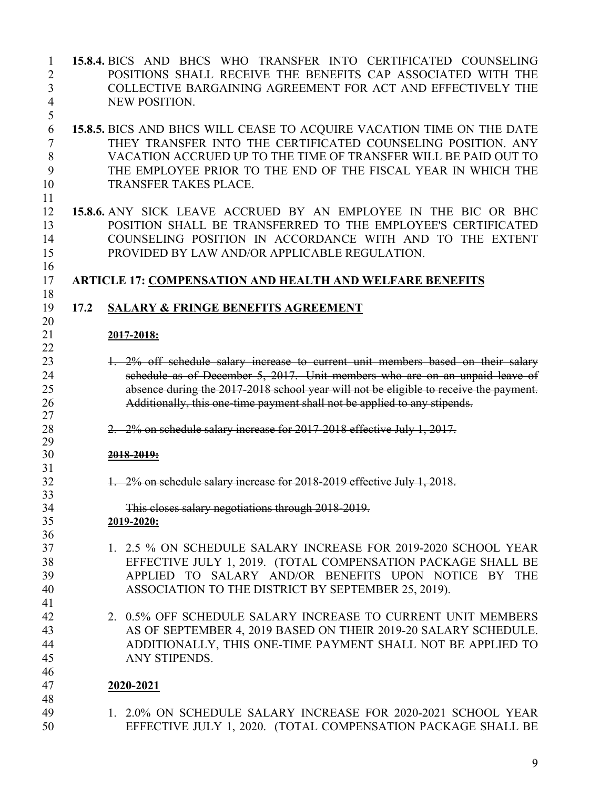- **15.8.4.** BICS AND BHCS WHO TRANSFER INTO CERTIFICATED COUNSELING POSITIONS SHALL RECEIVE THE BENEFITS CAP ASSOCIATED WITH THE COLLECTIVE BARGAINING AGREEMENT FOR ACT AND EFFECTIVELY THE NEW POSITION. **15.8.5.** BICS AND BHCS WILL CEASE TO ACQUIRE VACATION TIME ON THE DATE THEY TRANSFER INTO THE CERTIFICATED COUNSELING POSITION. ANY VACATION ACCRUED UP TO THE TIME OF TRANSFER WILL BE PAID OUT TO THE EMPLOYEE PRIOR TO THE END OF THE FISCAL YEAR IN WHICH THE TRANSFER TAKES PLACE. **15.8.6.** ANY SICK LEAVE ACCRUED BY AN EMPLOYEE IN THE BIC OR BHC POSITION SHALL BE TRANSFERRED TO THE EMPLOYEE'S CERTIFICATED COUNSELING POSITION IN ACCORDANCE WITH AND TO THE EXTENT PROVIDED BY LAW AND/OR APPLICABLE REGULATION. **ARTICLE 17: COMPENSATION AND HEALTH AND WELFARE BENEFITS 17.2 SALARY & FRINGE BENEFITS AGREEMENT 2017-2018:**  1. 2% off schedule salary increase to current unit members based on their salary schedule as of December 5, 2017. Unit members who are on an unpaid leave of absence during the 2017-2018 school year will not be eligible to receive the payment. Additionally, this one-time payment shall not be applied to any stipends. 2. 2% on schedule salary increase for 2017-2018 effective July 1, 2017. **2018-2019:** 1. 2% on schedule salary increase for 2018-2019 effective July 1, 2018. This closes salary negotiations through 2018-2019. **2019-2020:** 1. 2.5 % ON SCHEDULE SALARY INCREASE FOR 2019-2020 SCHOOL YEAR EFFECTIVE JULY 1, 2019. (TOTAL COMPENSATION PACKAGE SHALL BE APPLIED TO SALARY AND/OR BENEFITS UPON NOTICE BY THE ASSOCIATION TO THE DISTRICT BY SEPTEMBER 25, 2019). 2. 0.5% OFF SCHEDULE SALARY INCREASE TO CURRENT UNIT MEMBERS AS OF SEPTEMBER 4, 2019 BASED ON THEIR 2019-20 SALARY SCHEDULE. ADDITIONALLY, THIS ONE-TIME PAYMENT SHALL NOT BE APPLIED TO ANY STIPENDS. **2020-2021**
- 1. 2.0% ON SCHEDULE SALARY INCREASE FOR 2020-2021 SCHOOL YEAR EFFECTIVE JULY 1, 2020. (TOTAL COMPENSATION PACKAGE SHALL BE